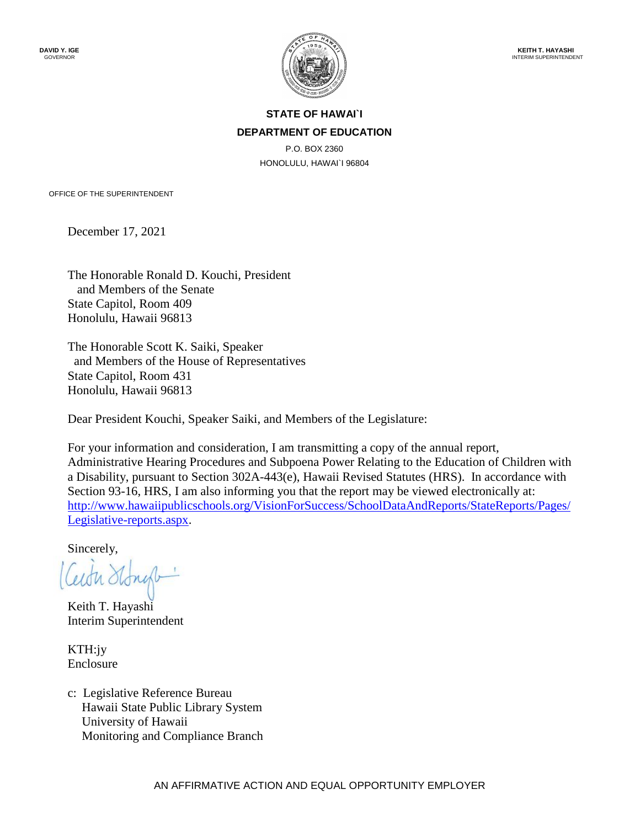

## **STATE OF HAWAI`I DEPARTMENT OF EDUCATION**

P.O. BOX 2360 HONOLULU, HAWAI`I 96804

OFFICE OF THE SUPERINTENDENT

December 17, 2021

The Honorable Ronald D. Kouchi, President and Members of the Senate State Capitol, Room 409 Honolulu, Hawaii 96813

The Honorable Scott K. Saiki, Speaker and Members of the House of Representatives State Capitol, Room 431 Honolulu, Hawaii 96813

Dear President Kouchi, Speaker Saiki, and Members of the Legislature:

For your information and consideration, I am transmitting a copy of the annual report, Administrative Hearing Procedures and Subpoena Power Relating to the Education of Children with a Disability, pursuant to Section 302A-443(e), Hawaii Revised Statutes (HRS). In accordance with Section 93-16, HRS, I am also informing you that the report may be viewed electronically at: [http://www.hawaiipublicschools.org/VisionForSuccess/SchoolDataAndReports/StateReports/Pages/](http://www.hawaiipublicschools.org/VisionForSuccess/SchoolDataAndReports/StateReports/Pages/Legislative-reports.aspx) [Legislative-reports.aspx.](http://www.hawaiipublicschools.org/VisionForSuccess/SchoolDataAndReports/StateReports/Pages/Legislative-reports.aspx)

Sincerely,

Keith T. Hayashi Interim Superintendent

KTH:jy Enclosure

c: Legislative Reference Bureau Hawaii State Public Library System University of Hawaii Monitoring and Compliance Branch